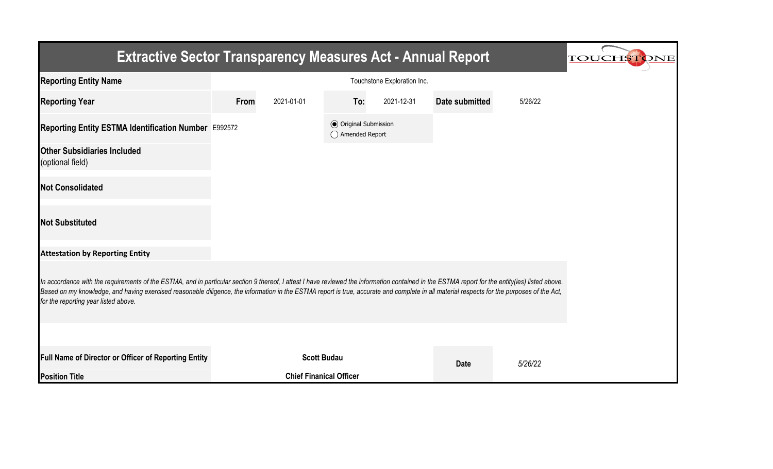| <b>Extractive Sector Transparency Measures Act - Annual Report</b><br><b>TOUCHSTONE</b>                                                                                                                                                                                                                                                                                                                                               |                             |            |                                                  |            |                       |         |  |  |  |
|---------------------------------------------------------------------------------------------------------------------------------------------------------------------------------------------------------------------------------------------------------------------------------------------------------------------------------------------------------------------------------------------------------------------------------------|-----------------------------|------------|--------------------------------------------------|------------|-----------------------|---------|--|--|--|
| <b>Reporting Entity Name</b>                                                                                                                                                                                                                                                                                                                                                                                                          | Touchstone Exploration Inc. |            |                                                  |            |                       |         |  |  |  |
| <b>Reporting Year</b>                                                                                                                                                                                                                                                                                                                                                                                                                 | From                        | 2021-01-01 | To:                                              | 2021-12-31 | <b>Date submitted</b> | 5/26/22 |  |  |  |
| Reporting Entity ESTMA Identification Number E992572                                                                                                                                                                                                                                                                                                                                                                                  |                             |            | <b>◎</b> Original Submission<br>◯ Amended Report |            |                       |         |  |  |  |
| <b>Other Subsidiaries Included</b><br>(optional field)                                                                                                                                                                                                                                                                                                                                                                                |                             |            |                                                  |            |                       |         |  |  |  |
| <b>Not Consolidated</b>                                                                                                                                                                                                                                                                                                                                                                                                               |                             |            |                                                  |            |                       |         |  |  |  |
| <b>Not Substituted</b>                                                                                                                                                                                                                                                                                                                                                                                                                |                             |            |                                                  |            |                       |         |  |  |  |
| <b>Attestation by Reporting Entity</b>                                                                                                                                                                                                                                                                                                                                                                                                |                             |            |                                                  |            |                       |         |  |  |  |
| In accordance with the requirements of the ESTMA, and in particular section 9 thereof, I attest I have reviewed the information contained in the ESTMA report for the entity(ies) listed above.<br>Based on my knowledge, and having exercised reasonable diligence, the information in the ESTMA report is true, accurate and complete in all material respects for the purposes of the Act,<br>for the reporting year listed above. |                             |            |                                                  |            |                       |         |  |  |  |
|                                                                                                                                                                                                                                                                                                                                                                                                                                       |                             |            |                                                  |            |                       |         |  |  |  |
| Full Name of Director or Officer of Reporting Entity                                                                                                                                                                                                                                                                                                                                                                                  |                             |            | <b>Scott Budau</b>                               |            | <b>Date</b>           | 5/26/22 |  |  |  |
| <b>Position Title</b>                                                                                                                                                                                                                                                                                                                                                                                                                 |                             |            | <b>Chief Finanical Officer</b>                   |            |                       |         |  |  |  |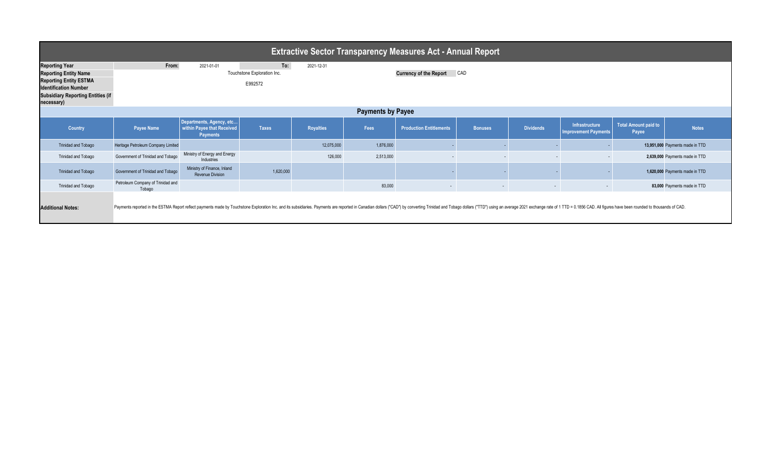| <b>Extractive Sector Transparency Measures Act - Annual Report</b>                                                                                                               |                                                                                                                                                                                                                               |                                                                           |                                               |                  |                                      |                                |                |                  |                                                      |                               |                                 |  |
|----------------------------------------------------------------------------------------------------------------------------------------------------------------------------------|-------------------------------------------------------------------------------------------------------------------------------------------------------------------------------------------------------------------------------|---------------------------------------------------------------------------|-----------------------------------------------|------------------|--------------------------------------|--------------------------------|----------------|------------------|------------------------------------------------------|-------------------------------|---------------------------------|--|
| <b>Reporting Year</b><br><b>Reporting Entity Name</b><br><b>Reporting Entity ESTMA</b><br><b>Identification Number</b><br><b>Subsidiary Reporting Entities (if</b><br>necessary) | From:                                                                                                                                                                                                                         | 2021-01-01                                                                | To:<br>Touchstone Exploration Inc.<br>E992572 | 2021-12-31       | CAD<br><b>Currency of the Report</b> |                                |                |                  |                                                      |                               |                                 |  |
| <b>Payments by Payee</b>                                                                                                                                                         |                                                                                                                                                                                                                               |                                                                           |                                               |                  |                                      |                                |                |                  |                                                      |                               |                                 |  |
| Country                                                                                                                                                                          | <b>Payee Name</b>                                                                                                                                                                                                             | Departments, Agency, etc<br>within Payee that Received<br><b>Payments</b> | <b>Taxes</b>                                  | <b>Royalties</b> | Fees                                 | <b>Production Entitlements</b> | <b>Bonuses</b> | <b>Dividends</b> | <b>Infrastructure</b><br><b>Improvement Payments</b> | Total Amount paid to<br>Payee | <b>Notes</b>                    |  |
| <b>Trinidad and Tobago</b>                                                                                                                                                       | Heritage Petroleum Company Limited                                                                                                                                                                                            |                                                                           |                                               | 12,075,000       | 1,876,000                            |                                |                |                  |                                                      |                               | 13,951,000 Payments made in TTD |  |
| <b>Trinidad and Tobago</b>                                                                                                                                                       | Government of Trinidad and Tobago                                                                                                                                                                                             | Ministry of Energy and Energy<br>Industries                               |                                               | 126,000          | 2,513,000                            |                                |                |                  |                                                      |                               | 2,639,000 Payments made in TTD  |  |
| <b>Trinidad and Tobago</b>                                                                                                                                                       | Government of Trinidad and Tobago                                                                                                                                                                                             | Ministry of Finance, Inland<br><b>Revenue Division</b>                    | 1,620,000                                     |                  |                                      |                                |                |                  |                                                      |                               | 1,620,000 Payments made in TTD  |  |
| Trinidad and Tobago                                                                                                                                                              | Petroleum Company of Trinidad and<br>Tobago                                                                                                                                                                                   |                                                                           |                                               |                  | 83,000                               | $\sim$                         | $\sim$         | $\sim$           | $\sim$                                               |                               | 83,000 Payments made in TTD     |  |
| <b>Additional Notes:</b>                                                                                                                                                         | Payments reported in the ESTMA Report reflect payments made by Touchstone Exploration Inc. and its subsidiaries. Payments are reported in Canadian dollars ("CAD") by converting Trinidad and Tobago dollars ("TTD") using an |                                                                           |                                               |                  |                                      |                                |                |                  |                                                      |                               |                                 |  |